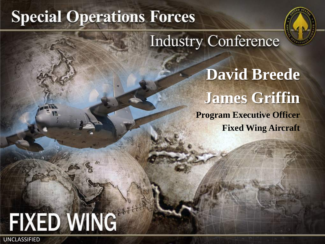# **Special Operations Forces**



**Industry Conference** 

**David Breede James Griffin Program Executive Officer Fixed Wing Aircraft**

# FIXED WING UNCLASSIFIED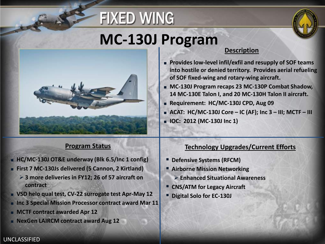





# **MC-130J Program**



### **Description**

- **Provides low-level infil/exfil and resupply of SOF teams into hostile or denied territory. Provides aerial refueling of SOF fixed-wing and rotary-wing aircraft.**
- MC-130J Program recaps 23 MC-130P Combat Shadow, **14 MC-130E Talon I, and 20 MC-130H Talon II aircraft.**
- **Requirement: HC/MC-130J CPD, Aug 09**
- **ACAT: HC/MC-130J Core – IC (AF); Inc 3 – III; MCTF – III**
- **IOC: 2012 (MC-130J Inc 1)**

### **Program Status**

- **HC/MC-130J OT&E underway (Blk 6.5/Inc 1 config)**
- **First 7 MC-130Js delivered (5 Cannon, 2 Kirtland)**
	- **3 more deliveries in FY12; 26 of 57 aircraft on contract**
- **VSD helo qual test, CV-22 surrogate test Apr-May 12**
- Inc 3 Special Mission Processor contract award Mar 11
- **MCTF contract awarded Apr 12**
- **NexGen LAIRCM contract award Aug 12**

### **Technology Upgrades/Current Efforts**

- **Defensive Systems (RFCM)**
- **Airborne Mission Networking**
	- **Enhanced Situational Awareness**
- **CNS/ATM for Legacy Aircraft**
- **Digital Solo for EC-130J**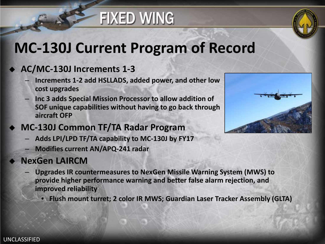# **FIXED WING**



# **MC-130J Current Program of Record**

### **AC/MC-130J Increments 1-3**

- **Increments 1-2 add HSLLADS, added power, and other low cost upgrades**
- **Inc 3 adds Special Mission Processor to allow addition of SOF unique capabilities without having to go back through aircraft OFP**
- **MC-130J Common TF/TA Radar Program**
	- **Adds LPI/LPD TF/TA capability to MC-130J by FY17**
	- **Modifies current AN/APQ-241 radar**

### **NexGen LAIRCM**

- **Upgrades IR countermeasures to NexGen Missile Warning System (MWS) to provide higher performance warning and better false alarm rejection, and improved reliability**
	- **Flush mount turret; 2 color IR MWS; Guardian Laser Tracker Assembly (GLTA)**

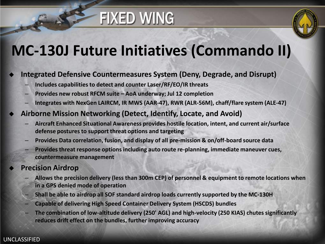# **FIXED WING**



# **MC-130J Future Initiatives (Commando II)**

### **Integrated Defensive Countermeasures System (Deny, Degrade, and Disrupt)**

- **Includes capabilities to detect and counter Laser/RF/EO/IR threats**
- **Provides new robust RFCM suite – AoA underway; Jul 12 completion**
- **Integrates with NexGen LAIRCM, IR MWS (AAR-47), RWR (ALR-56M), chaff/flare system (ALE-47)**
- **Airborne Mission Networking (Detect, Identify, Locate, and Avoid)**
	- **Aircraft Enhanced Situational Awareness provides hostile location, intent, and current air/surface defense postures to support threat options and targeting**
	- **Provides Data correlation, fusion, and display of all pre-mission & on/off-board source data**
	- **Provides threat response options including auto route re-planning, immediate maneuver cues, countermeasure management**

### **Precision Airdrop**

- **Allows the precision delivery (less than 300m CEP) of personnel & equipment to remote locations when in a GPS denied mode of operation**
- **Shall be able to airdrop all SOF standard airdrop loads currently supported by the MC-130H**
- **Capable of delivering High Speed Container Delivery System (HSCDS) bundles**
- **The combination of low-altitude delivery (250' AGL) and high-velocity (250 KIAS) chutes significantly reduces drift effect on the bundles, further improving accuracy**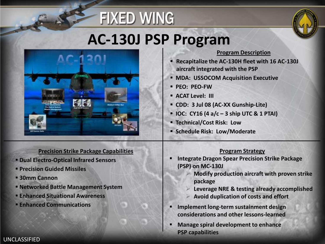# **AC-130J PSP Program**

**FIXED WING** 



### **Precision Strike Package Capabilities**

- **Dual Electro-Optical Infrared Sensors**
- **Precision Guided Missiles**
- **30mm Cannon**
- **Networked Battle Management System**
- **Enhanced Situational Awareness**
- **Enhanced Communications**

#### **Program Description**

- **Recapitalize the AC-130H fleet with 16 AC-130J aircraft integrated with the PSP**
- **MDA: USSOCOM Acquisition Executive**
- **PEO: PEO-FW**
- **ACAT Level: III**
- **CDD: 3 Jul 08 (AC-XX Gunship-Lite)**
- **IOC: CY16 (4 a/c – 3 ship UTC & 1 PTAI)**
- **Technical/Cost Risk: Low**
- **F** Schedule Risk: Low/Moderate

#### **Program Strategy**

- **Integrate Dragon Spear Precision Strike Package (PSP) on MC-130J**
	- **Modify production aircraft with proven strike package**
	- **Leverage NRE & testing already accomplished**
	- **Avoid duplication of costs and effort**
- **Implement long-term sustainment design considerations and other lessons-learned**
- **Manage spiral development to enhance PSP capabilities**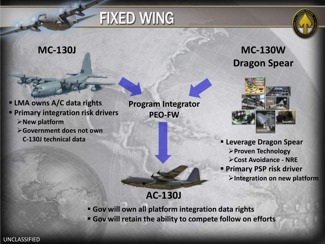

- **LMA owns A/C data rights Primary integration risk drivers New platform** 
	- **Government does not own**
	-

**Program Integrator PEO-FW**





**C-130J technical data Leverage Dragon Spear Proven Technology Cost Avoidance - NRE Primary PSP risk driver Integration on new platform**

**AC-130J**

- **Gov will own all platform integration data rights**
- **Gov will retain the ability to compete follow on efforts**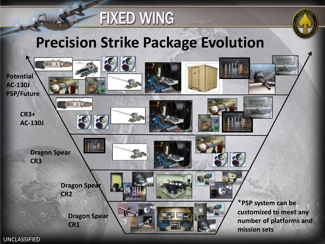



# **Precision Strike Package Evolution**